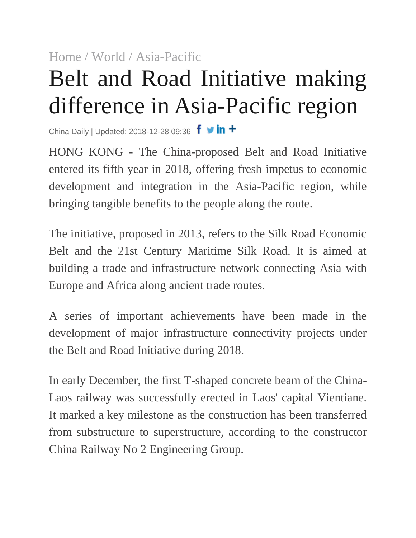## [Home](http://www.chinadaily.com.cn/) [/ World](http://www.chinadaily.com.cn/world) [/ Asia-Pacific](http://www.chinadaily.com.cn/world/asia_pacific) Belt and Road Initiative making difference in Asia-Pacific region

China Daily | Updated: 2018-12-28 09:36  $f \cdot in +$ 

HONG KONG - The China-proposed Belt and Road Initiative entered its fifth year in 2018, offering fresh impetus to economic development and integration in the Asia-Pacific region, while bringing tangible benefits to the people along the route.

The initiative, proposed in 2013, refers to the Silk Road Economic Belt and the 21st Century Maritime Silk Road. It is aimed at building a trade and infrastructure network connecting Asia with Europe and Africa along ancient trade routes.

A series of important achievements have been made in the development of major infrastructure connectivity projects under the Belt and Road Initiative during 2018.

In early December, the first T-shaped concrete beam of the China-Laos railway was successfully erected in Laos' capital Vientiane. It marked a key milestone as the construction has been transferred from substructure to superstructure, according to the constructor China Railway No 2 Engineering Group.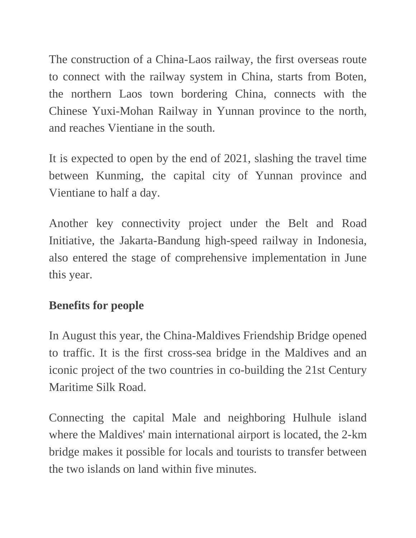The construction of a China-Laos railway, the first overseas route to connect with the railway system in China, starts from Boten, the northern Laos town bordering China, connects with the Chinese Yuxi-Mohan Railway in Yunnan province to the north, and reaches Vientiane in the south.

It is expected to open by the end of 2021, slashing the travel time between Kunming, the capital city of Yunnan province and Vientiane to half a day.

Another key connectivity project under the Belt and Road Initiative, the Jakarta-Bandung high-speed railway in Indonesia, also entered the stage of comprehensive implementation in June this year.

## **Benefits for people**

In August this year, the China-Maldives Friendship Bridge opened to traffic. It is the first cross-sea bridge in the Maldives and an iconic project of the two countries in co-building the 21st Century Maritime Silk Road.

Connecting the capital Male and neighboring Hulhule island where the Maldives' main international airport is located, the 2-km bridge makes it possible for locals and tourists to transfer between the two islands on land within five minutes.